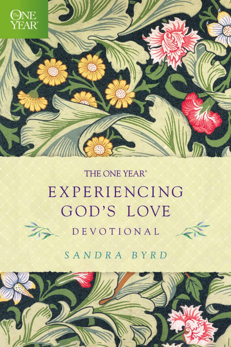

# THE ONE YEAR<sup>®</sup> EXPERIENCING GOD'S LOVE DEVOTIONAL A

SANDRA BYRD

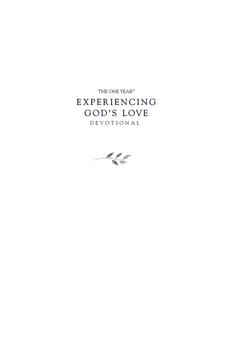**EXPERIENCING** GOD'S LOVE DEVOTIONAL THE ONE YEAR®

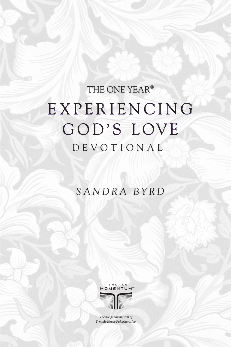# E X P E R I E N C I N G GOD'S LOVE DEVOTIONAL THE ONE YEAR®

## *SANDRA BYRD*



The nonfiction imprint of Tyndale House Publishers, Inc.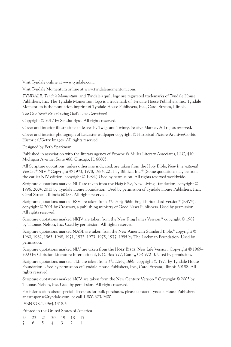Visit Tyndale online at www.tyndale.com.

Visit Tyndale Momentum online at www.tyndalemomentum.com.

*TYNDALE*, *Tyndale Momentum*, and Tyndale's quill logo are registered trademarks of Tyndale House Publishers, Inc. The Tyndale Momentum logo is a trademark of Tyndale House Publishers, Inc. Tyndale Momentum is the nonfiction imprint of Tyndale House Publishers, Inc., Carol Stream, Illinois.

*The One Year*® *Experiencing God's Love Devotional*

Copyright © 2017 by Sandra Byrd. All rights reserved.

Cover and interior illustrations of leaves by Twigs and Twine/Creative Market. All rights reserved.

Cover and interior photograph of Leicester wallpaper copyright © Historical Picture Archive/Corbis Historical/Getty Images. All rights reserved.

Designed by Beth Sparkman

Published in association with the literary agency of Browne & Miller Literary Associates, LLC, 410 Michigan Avenue, Suite 460, Chicago, IL 60605.

All Scripture quotations, unless otherwise indicated, are taken from the Holy Bible, *New International Version*, ® NIV*.* ® Copyright © 1973, 1978, 1984, 2011 by Biblica, Inc.® (Some quotations may be from the earlier NIV edition, copyright © 1984.) Used by permission. All rights reserved worldwide.

Scripture quotations marked NLT are taken from the *Holy Bible*, New Living Translation, copyright © 1996, 2004, 2015 by Tyndale House Foundation. Used by permission of Tyndale House Publishers, Inc., Carol Stream, Illinois 60188. All rights reserved.

Scripture quotations marked ESV are taken from *The Holy Bible*, English Standard Version® (ESV®), copyright © 2001 by Crossway, a publishing ministry of Good News Publishers. Used by permission. All rights reserved.

Scripture quotations marked NKJV are taken from the New King James Version,® copyright © 1982 by Thomas Nelson, Inc. Used by permission. All rights reserved.

Scripture quotations marked NASB are taken from the New American Standard Bible,® copyright © 1960, 1962, 1963, 1968, 1971, 1972, 1973, 1975, 1977, 1995 by The Lockman Foundation. Used by permission.

Scripture quotations marked NLV are taken from the HoLy BIBLE, New Life Version. Copyright © 1969– 2003 by Christian Literature International, P. O. Box 777, Canby, OR 97013. Used by permission.

Scripture quotations marked TLB are taken from *The Living Bible*, copyright © 1971 by Tyndale House Foundation. Used by permission of Tyndale House Publishers, Inc., Carol Stream, Illinois 60188. All rights reserved.

Scripture quotations marked NCV are taken from the New Century Version.® Copyright © 2005 by Thomas Nelson, Inc. Used by permission. All rights reserved.

For information about special discounts for bulk purchases, please contact Tyndale House Publishers at csresponse@tyndale.com, or call 1‑800‑323‑9400.

ISBN 978-1-4964-1318-5

Printed in the United States of America

23 22 21 20 19 18 17 7 6 5 4 3 2 1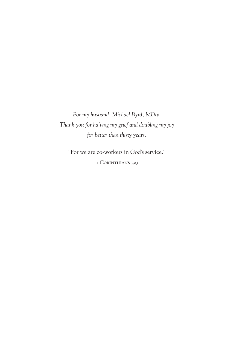*For my husband, Michael Byrd, MDiv. Thank you for halving my grief and doubling my joy for better than thirty years.* 

"For we are co-workers in God's service." 1 Corinthians 3:9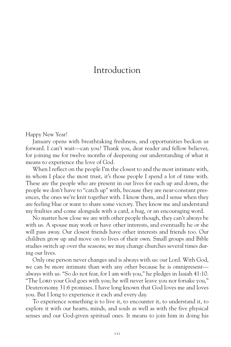## Introduction

Happy New Year!

January opens with breathtaking freshness, and opportunities beckon us forward. I can't wait—can you? Thank you, dear reader and fellow believer, for joining me for twelve months of deepening our understanding of what it means to experience the love of God.

When I reflect on the people I'm the closest to and the most intimate with, in whom I place the most trust, it's those people I spend a lot of time with. These are the people who are present in our lives for each up and down, the people we don't have to "catch up" with, because they are near-constant presences, the ones we're knit together with. I know them, and I sense when they are feeling blue or want to share some victory. They know me and understand my frailties and come alongside with a card, a hug, or an encouraging word.

No matter how close we are with other people though, they can't always be with us. A spouse may work or have other interests, and eventually he or she will pass away. Our closest friends have other interests and friends too. Our children grow up and move on to lives of their own. Small groups and Bible studies switch up over the seasons; we may change churches several times during our lives.

Only one person never changes and is always with us: our Lord. With God, we can be more intimate than with any other because he is omnipresent always with us. "So do not fear, for I am with you," he pledges in Isaiah 41:10. "The Lord your God goes with you; he will never leave you nor forsake you," Deuteronomy 31:6 promises. I have long known that God loves me and loves you. But I long to experience it each and every day.

To experience something is to live it, to encounter it, to understand it, to explore it with our hearts, minds, and souls as well as with the five physical senses and our God-given spiritual ones. It means to join him in doing his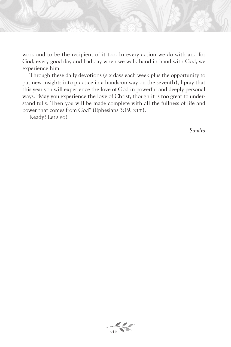work and to be the recipient of it too. In every action we do with and for God, every good day and bad day when we walk hand in hand with God, we experience him.

Through these daily devotions (six days each week plus the opportunity to put new insights into practice in a hands-on way on the seventh), I pray that this year you will experience the love of God in powerful and deeply personal ways. "May you experience the love of Christ, though it is too great to understand fully. Then you will be made complete with all the fullness of life and power that comes from God" (Ephesians 3:19, NLT).

Ready? Let's go!

*Sandra*

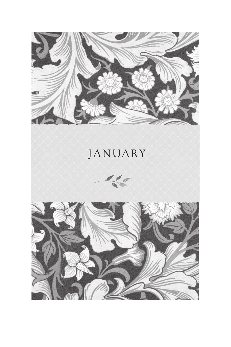

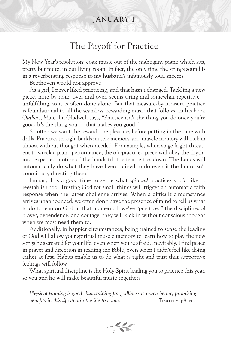## The Payoff for Practice

My New Year's resolution: coax music out of the mahogany piano which sits, pretty but mute, in our living room. In fact, the only time the strings sound is in a reverberating response to my husband's infamously loud sneezes.

Beethoven would not approve.

As a girl, I never liked practicing, and that hasn't changed. Tackling a new piece, note by note, over and over, seems tiring and somewhat repetitive unfulfilling, as it is often done alone. But that measure-by-measure practice is foundational to all the seamless, rewarding music that follows. In his book *Outliers*, Malcolm Gladwell says, "Practice isn't the thing you do once you're good. It's the thing you do that makes you good."

So often we want the reward, the pleasure, before putting in the time with drills. Practice, though, builds muscle memory, and muscle memory will kick in almost without thought when needed. For example, when stage fright threatens to wreck a piano performance, the oft-practiced piece will obey the rhythmic, expected motion of the hands till the fear settles down. The hands will automatically do what they have been trained to do even if the brain isn't consciously directing them.

January 1 is a good time to settle what *spiritual* practices you'd like to reestablish too. Trusting God for small things will trigger an automatic faith response when the larger challenge arrives. When a difficult circumstance arrives unannounced, we often don't have the presence of mind to tell us what to do to lean on God in that moment. If we've "practiced" the disciplines of prayer, dependence, and courage, they will kick in without conscious thought when we most need them to.

Additionally, in happier circumstances, being trained to sense the leading of God will allow your spiritual muscle memory to learn how to play the new songs he's created for your life, even when you're afraid. Inevitably, I find peace in prayer and direction in reading the Bible, even when I didn't feel like doing either at first. Habits enable us to do what is right and trust that supportive feelings will follow.

What spiritual discipline is the Holy Spirit leading you to practice this year, so you and he will make beautiful music together?

*Physical training is good, but training for godliness is much better, promising benefits in this life and in the life to come.* I TIMOTHY 4:8, NLT

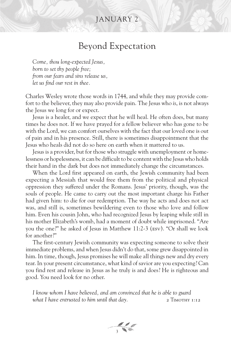## Beyond Expectation

*Come, thou long-expected Jesus, born to set thy people free; from our fears and sins release us, let us find our rest in thee.* 

Charles Wesley wrote those words in 1744, and while they may provide comfort to the believer, they may also provide pain. The Jesus who *is*, is not always the Jesus we long for or expect.

Jesus is a healer, and we expect that he will heal. He often does, but many times he does not. If we have prayed for a fellow believer who has gone to be with the Lord, we can comfort ourselves with the fact that our loved one is out of pain and in his presence. Still, there is sometimes disappointment that the Jesus who heals did not do so here on earth when it mattered to us.

Jesus is a provider, but for those who struggle with unemployment or home‑ lessness or hopelessness, it can be difficult to be content with the Jesus who holds their hand in the dark but does not immediately change the circumstances.

When the Lord first appeared on earth, the Jewish community had been expecting a Messiah that would free them from the political and physical oppression they suffered under the Romans. Jesus' priority, though, was the souls of people. He came to carry out the most important charge his Father had given him: to die for our redemption. The way he acts and does not act was, and still is, sometimes bewildering even to those who love and follow him. Even his cousin John, who had recognized Jesus by leaping while still in his mother Elizabeth's womb, had a moment of doubt while imprisoned. "Are you the one?" he asked of Jesus in Matthew 11:2‑3 (esv). "Or shall we look for another?"

The first-century Jewish community was expecting someone to solve their immediate problems, and when Jesus didn't do that, some grew disappointed in him. In time, though, Jesus promises he will make all things new and dry every tear. In your present circumstance, what kind of savior are you expecting? Can you find rest and release in Jesus as he truly is and does? He is righteous and good. You need look for no other.

*I know whom I have believed, and am convinced that he is able to guard what I have entrusted to him until that day.*  $\qquad \qquad$  2 TIMOTHY 1:12

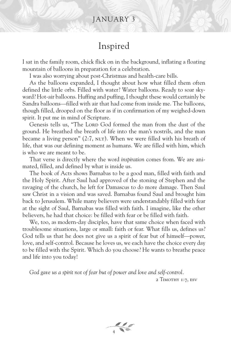## Inspired

I sat in the family room, chick flick on in the background, inflating a floating mountain of balloons in preparation for a celebration.

I was also worrying about post-Christmas and health-care bills.

As the balloons expanded, I thought about how what filled them often defined the little orbs. Filled with water? Water balloons. Ready to soar skyward? Hot-air balloons. Huffing and puffing, I thought these would certainly be Sandra balloons—filled with air that had come from inside me. The balloons, though filled, drooped on the floor as if in confirmation of my weighed-down spirit. It put me in mind of Scripture.

Genesis tells us, "The Lorp God formed the man from the dust of the ground. He breathed the breath of life into the man's nostrils, and the man became a living person" (2:7, NLT). When we were filled with his breath of life, that was our defining moment as humans. We are filled with him, which is who we are meant to be.

That verse is directly where the word *inspiration* comes from. We are ani‑ mated, filled, and defined by what is inside us.

The book of Acts shows Barnabas to be a good man, filled with faith and the Holy Spirit. After Saul had approved of the stoning of Stephen and the ravaging of the church, he left for Damascus to do more damage. Then Saul saw Christ in a vision and was saved. Barnabas found Saul and brought him back to Jerusalem. While many believers were understandably filled with fear at the sight of Saul, Barnabas was filled with faith. I imagine, like the other believers, he had that choice: be filled with fear or be filled with faith.

We, too, as modern-day disciples, have that same choice when faced with troublesome situations, large or small: faith or fear. What fills us, defines us? God tells us that he does not give us a spirit of fear but of himself—power, love, and self-control. Because he loves us, we each have the choice every day to be filled with the Spirit. Which do you choose? He wants to breathe peace and life into you today!

*God gave us a spirit not of fear but of power and love and self-control.* 2 Timothy 1:7, esv

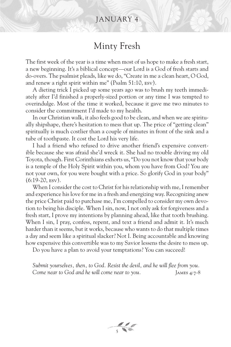## Minty Fresh

The first week of the year is a time when most of us hope to make a fresh start, a new beginning. It's a biblical concept—our Lord is a God of fresh starts and do-overs. The psalmist pleads, like we do, "Create in me a clean heart, O God, and renew a right spirit within me" (Psalm 51:10, esv).

A dieting trick I picked up some years ago was to brush my teeth immedi‑ ately after I'd finished a properly-sized portion or any time I was tempted to overindulge. Most of the time it worked, because it gave me two minutes to consider the commitment I'd made to my health.

In our Christian walk, it also feels good to be clean, and when we are spiritu‑ ally shipshape, there's hesitation to mess that up. The price of "getting clean" spiritually is much costlier than a couple of minutes in front of the sink and a tube of toothpaste. It cost the Lord his very life.

I had a friend who refused to drive another friend's expensive convertible because she was afraid she'd wreck it. She had no trouble driving my old Toyota, though. First Corinthians exhorts us, "Do you not know that your body is a temple of the Holy Spirit within you, whom you have from God? You are not your own, for you were bought with a price. So glorify God in your body" (6:19‑20, esv).

When I consider the cost to Christ for his relationship with me, I remember and experience his love for me in a fresh and energizing way. Recognizing anew the price Christ paid to purchase me, I'm compelled to consider my own devotion to being his disciple. When I sin, now, I not only ask for forgiveness and a fresh start, I prove my intentions by planning ahead, like that tooth brushing. When I sin, I pray, confess, repent, and text a friend and admit it. It's much harder than it seems, but it works, because who wants to do that multiple times a day and seem like a spiritual slacker? Not I. Being accountable and knowing how expensive this convertible was to my Savior lessens the desire to mess up.

Do you have a plan to avoid your temptations? You can succeed!

*Submit yourselves, then, to God. Resist the devil, and he will flee from you. Come near to God and he will come near to you.* JAMES 4:7-8

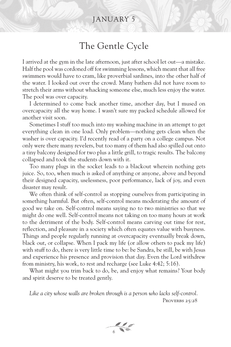## The Gentle Cycle

I arrived at the gym in the late afternoon, just after school let out—a mistake. Half the pool was cordoned off for swimming lessons, which meant that all free swimmers would have to cram, like proverbial sardines, into the other half of the water. I looked out over the crowd. Many bathers did not have room to stretch their arms without whacking someone else, much less enjoy the water. The pool was over capacity.

I determined to come back another time, another day, but I mused on overcapacity all the way home. I wasn't sure my packed schedule allowed for another visit soon.

Sometimes I stuff too much into my washing machine in an attempt to get everything clean in one load. Only problem—nothing gets clean when the washer is over capacity. I'd recently read of a party on a college campus. Not only were there many revelers, but too many of them had also spilled out onto a tiny balcony designed for two plus a little grill, to tragic results. The balcony collapsed and took the students down with it.

Too many plugs in the socket leads to a blackout wherein nothing gets juice. So, too, when much is asked of anything or anyone, above and beyond their designed capacity, uselessness, poor performance, lack of joy, and even disaster may result.

We often think of self-control as stopping ourselves from participating in something harmful. But often, self-control means moderating the amount of good we take on. Self-control means saying no to two ministries so that we might do one well. Self-control means not taking on too many hours at work to the detriment of the body. Self-control means carving out time for rest, reflection, and pleasure in a society which often equates value with busyness. Things and people regularly running at overcapacity eventually break down, black out, or collapse. When I pack my life (or allow others to pack my life) with stuff to do, there is very little time to be: be Sandra, be still, be with Jesus and experience his presence and provision that day. Even the Lord withdrew from ministry, his work, to rest and recharge (see Luke 4:42; 5:16).

What might you trim back to do, be, and enjoy what remains? Your body and spirit deserve to be treated gently.

Like a city whose walls are broken through is a person who lacks self-control. PROVERBS 25:28

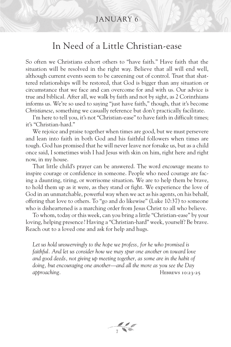## In Need of a Little Christian-ease

So often we Christians exhort others to "have faith." Have faith that the situation will be resolved in the right way. Believe that all will end well, although current events seem to be careening out of control. Trust that shattered relationships will be restored, that God is bigger than any situation or circumstance that we face and can overcome for and with us. Our advice is true and biblical. After all, we walk by faith and not by sight, as 2 Corinthians informs us. We're so used to saying "just have faith," though, that it's become *Christianese*, something we casually reference but don't practically facilitate.

I'm here to tell you, it's not "Christian-ease" to have faith in difficult times; it's "Christian-hard."

We rejoice and praise together when times are good, but we must persevere and lean into faith in both God and his faithful followers when times are tough. God has promised that he will never leave nor forsake us, but as a child once said, I sometimes wish I had Jesus with skin on him, right here and right now, in my house.

That little child's prayer can be answered. The word *encourage* means to inspire courage or confidence in someone. People who need courage are facing a daunting, tiring, or worrisome situation. We are to help them be brave, to hold them up as it were, as they stand or fight. We experience the love of God in an unmatchable, powerful way when we act as his agents, on his behalf, offering that love to others. To "go and do likewise" (Luke 10:37) to someone who is disheartened is a marching order from Jesus Christ to all who believe.

To whom, today or this week, can you bring a little "Christian-ease" by your loving, helping presence? Having a "Christian-hard" week, yourself? Be brave. Reach out to a loved one and ask for help and hugs.

*Let us hold unswervingly to the hope we profess, for he who promised is faithful. And let us consider how we may spur one another on toward love and good deeds, not giving up meeting together, as some are in the habit of doing, but encouraging one another—and all the more as you see the Day approaching.* Hebrews 10:23‑25

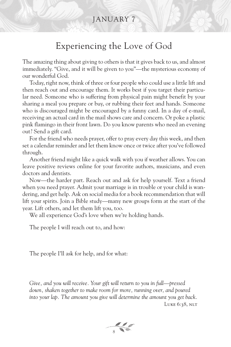## Experiencing the Love of God

The amazing thing about giving to others is that it gives back to us, and almost immediately. "Give, and it will be given to you"—the mysterious economy of our wonderful God.

Today, right now, think of three or four people who could use a little lift and then reach out and encourage them. It works best if you target their particular need. Someone who is suffering from physical pain might benefit by your sharing a meal you prepare or buy, or rubbing their feet and hands. Someone who is discouraged might be encouraged by a funny card. In a day of e-mail, receiving an actual card in the mail shows care and concern. Or poke a plastic pink flamingo in their front lawn. Do you know parents who need an evening out? Send a gift card.

For the friend who needs prayer, offer to pray every day this week, and then set a calendar reminder and let them know once or twice after you've followed through.

Another friend might like a quick walk with you if weather allows. You can leave positive reviews online for your favorite authors, musicians, and even doctors and dentists.

Now—the harder part. Reach out and ask for help yourself. Text a friend when you need prayer. Admit your marriage is in trouble or your child is wandering, and get help. Ask on social media for a book recommendation that will lift your spirits. Join a Bible study—many new groups form at the start of the year. Lift others, and let them lift you, too.

We all experience God's love when we're holding hands.

The people I will reach out to, and how:

The people I'll ask for help, and for what:

*Give, and you will receive. Your gift will return to you in full—pressed down, shaken together to make room for more, running over, and poured into your lap. The amount you give will determine the amount you get back.*  LUKE 6:38, NLT

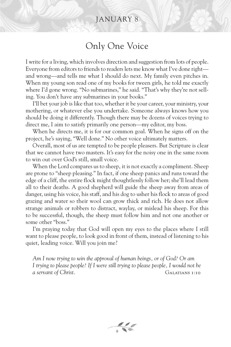## Only One Voice

I write for a living, which involves direction and suggestion from lots of people. Everyone from editors to friends to readers lets me know what I've done right and wrong—and tells me what I should do next. My family even pitches in. When my young son read one of my books for tween girls, he told me exactly where I'd gone wrong. "No submarines," he said. "That's why they're not selling. You don't have any submarines in your books."

I'll bet your job is like that too, whether it be your career, your ministry, your mothering, or whatever else you undertake. Someone always knows how you should be doing it differently. Though there may be dozens of voices trying to direct me, I aim to satisfy primarily one person—my editor, my boss.

When he directs me, it is for our common goal. When he signs off on the project, he's saying, "Well done." No other voice ultimately matters.

Overall, most of us are tempted to be people pleasers. But Scripture is clear that we cannot have two masters. It's easy for the noisy one in the same room to win out over God's still, small voice.

When the Lord compares us to sheep, it is not exactly a compliment. Sheep are prone to "sheep pleasing." In fact, if one sheep panics and runs toward the edge of a cliff, the entire flock might thoughtlessly follow her; she'll lead them all to their deaths. A good shepherd will guide the sheep away from areas of danger, using his voice, his staff, and his dog to usher his flock to areas of good grazing and water so their wool can grow thick and rich. He does not allow strange animals or robbers to distract, waylay, or mislead his sheep. For this to be successful, though, the sheep must follow him and not one another or some other "boss."

I'm praying today that God will open my eyes to the places where I still want to please people, to look good in front of them, instead of listening to his quiet, leading voice. Will you join me?

*Am I now trying to win the approval of human beings, or of God? Or am I trying to please people? If I were still trying to please people, I would not be a servant of Christ.* Galatians 1:10

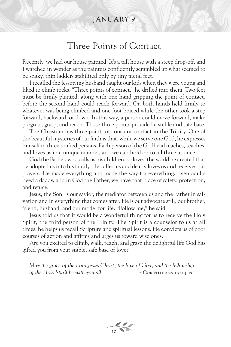## Three Points of Contact

Recently, we had our house painted. It's a tall house with a steep drop-off, and I watched in wonder as the painters confidently scrambled up what seemed to be shaky, thin ladders stabilized only by tiny metal feet.

I recalled the lesson my husband taught our kids when they were young and liked to climb rocks. "Three points of contact," he drilled into them. Two feet must be firmly planted, along with one hand gripping the point of contact, before the second hand could reach forward. Or, both hands held firmly to whatever was being climbed and one foot braced while the other took a step forward, backward, or down. In this way, a person could move forward, make progress, grasp, and reach. Those three points provided a stable and safe base.

The Christian has three points of constant contact in the Trinity. One of the beautiful mysteries of our faith is that, while we serve one God, he expresses himself in three unified persons. Each person of the Godhead reaches, teaches, and loves us in a unique manner, and we can hold on to all three at once.

God the Father, who calls us his children, so loved the world he created that he adopted us into his family. He called us and dearly loves us and receives our prayers. He made everything and made the way for everything. Even adults need a daddy, and in God the Father, we have that place of safety, protection, and refuge.

Jesus, the Son, is our savior, the mediator between us and the Father in sal‑ vation and in everything that comes after. He is our advocate still, our brother, friend, husband, and our model for life. "Follow me," he said.

Jesus told us that it would be a wonderful thing for us to receive the Holy Spirit, the third person of the Trinity. The Spirit is a counselor to us at all times; he helps us recall Scripture and spiritual lessons. He convicts us of poor courses of action and affirms and urges us toward wise ones.

Are you excited to climb, walk, reach, and grasp the delightful life God has gifted you from your stable, safe base of love?

*May the grace of the Lord Jesus Christ, the love of God, and the fellowship of the Holy Spirit be with you all.* 2 CORINTHIANS 13:14, NLT

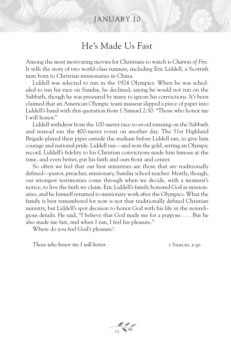## He's Made Us Fast

Among the most motivating movies for Christians to watch is *Chariots of Fire*. It tells the story of two world-class runners, including Eric Liddell, a Scottish man born to Christian missionaries in China.

Liddell was selected to run in the 1924 Olympics. When he was scheduled to run his race on Sunday, he declined, saying he would not run on the Sabbath, though he was pressured by many to ignore his convictions. It's been claimed that an American Olympic team masseur slipped a piece of paper into Liddell's hand with this quotation from 1 Samuel 2:30: "Those who honor me I will honor."

Liddell withdrew from the 100-meter race to avoid running on the Sabbath and instead ran the 400-meter event on another day. The 51st Highland Brigade played their pipes outside the stadium before Liddell ran, to give him courage and national pride. Liddell ran—and won the gold, setting an Olympic record. Liddell's fidelity to his Christian convictions made him famous at the time, and even better, put his faith and ours front and center.

So often we feel that our best ministries are those that are traditionally defined—pastor, preacher, missionary, Sunday school teacher. Mostly, though, our strongest testimonies come through when we decide, with a moment's notice, to live the faith we claim. Eric Liddell's family honored God as missionaries, and he himself returned to missionary work after the Olympics. What the family is best remembered for now is not that traditionally defined Christian ministry, but Liddell's spot decision to honor God with his life in the nonreligious details. He said, "I believe that God made me for a purpose. . . . But he also made me fast, and when I run, I feel his pleasure."

Where do you feel God's pleasure?

*Those who honor me I will honor.* 1 SAMUEL 2:30

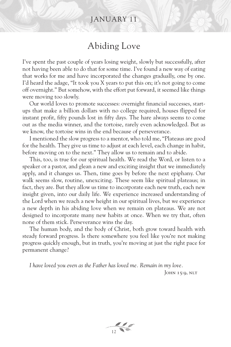## Abiding Love

I've spent the past couple of years losing weight, slowly but successfully, after not having been able to do that for some time. I've found a new way of eating that works for me and have incorporated the changes gradually, one by one. I'd heard the adage, "It took you X years to put this on; it's not going to come off overnight." But somehow, with the effort put forward, it seemed like things were moving too slowly.

Our world loves to promote successes: overnight financial successes, start ups that make a billion dollars with no college required, houses flipped for instant profit, fifty pounds lost in fifty days. The hare always seems to come out as the media winner, and the tortoise, rarely even acknowledged. But as we know, the tortoise wins in the end because of perseverance.

I mentioned the slow progress to a mentor, who told me, "Plateaus are good for the health. They give us time to adjust at each level, each change in habit, before moving on to the next." They allow us to remain and to abide.

This, too, is true for our spiritual health. We read the Word, or listen to a speaker or a pastor, and glean a new and exciting insight that we immediately apply, and it changes us. Then, time goes by before the next epiphany. Our walk seems slow, routine, unexciting. These seem like spiritual plateaus; in fact, they are. But they allow us time to incorporate each new truth, each new insight given, into our daily life. We experience increased understanding of the Lord when we reach a new height in our spiritual lives, but we experience a new depth in his abiding love when we remain on plateaus. We are not designed to incorporate many new habits at once. When we try that, often none of them stick. Perseverance wins the day.

The human body, and the body of Christ, both grow toward health with steady forward progress. Is there somewhere you feel like you're not making progress quickly enough, but in truth, you're moving at just the right pace for permanent change?

*I have loved you even as the Father has loved me. Remain in my love.* 

 $J$ OHN 15:9, NLT

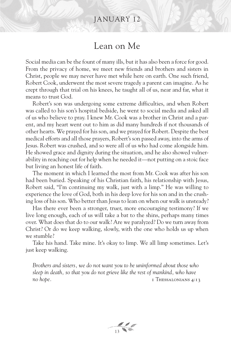## Lean on Me

Social media can be the fount of many ills, but it has also been a force for good. From the privacy of home, we meet new friends and brothers and sisters in Christ, people we may never have met while here on earth. One such friend, Robert Cook, underwent the most severe tragedy a parent can imagine. As he crept through that trial on his knees, he taught all of us, near and far, what it means to trust God.

Robert's son was undergoing some extreme difficulties, and when Robert was called to his son's hospital bedside, he went to social media and asked all of us who believe to pray. I knew Mr. Cook was a brother in Christ and a par‑ ent, and my heart went out to him as did many hundreds if not thousands of other hearts. We prayed for his son, and we prayed for Robert. Despite the best medical efforts and all those prayers, Robert's son passed away, into the arms of Jesus. Robert was crushed, and so were all of us who had come alongside him. He showed grace and dignity during the situation, and he also showed vulnerability in reaching out for help when he needed it—not putting on a stoic face but living an honest life of faith.

The moment in which I learned the most from Mr. Cook was after his son had been buried. Speaking of his Christian faith, his relationship with Jesus, Robert said, "I'm continuing my walk, just with a limp." He was willing to experience the love of God, both in his deep love for his son and in the crushing loss of his son. Who better than Jesus to lean on when our walk is unsteady?

Has there ever been a stronger, truer, more encouraging testimony? If we live long enough, each of us will take a bat to the shins, perhaps many times over. What does that do to our walk? Are we paralyzed? Do we turn away from Christ? Or do we keep walking, slowly, with the one who holds us up when we stumble?

Take his hand. Take mine. It's okay to limp. We all limp sometimes. Let's just keep walking.

*Brothers and sisters, we do not want you to be uninformed about those who sleep in death, so that you do not grieve like the rest of mankind, who have no hope.* **1** THESSALONIANS 4:13

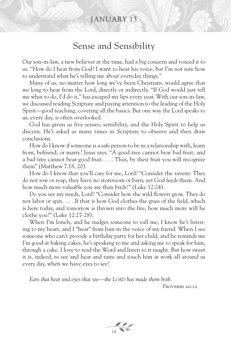#### Sense and Sensibility

Our son-in-law, a new believer at the time, had a big concern and voiced it to us. "How do I hear from God? I want to hear his voice, but I'm not sure how to understand what he's telling me about everyday things."

Many of us, no matter how long we've been Christians, would agree that we long to hear from the Lord, directly or indirectly. "If God would just tell me what to do, I'd do it," has escaped my lips every year. With our son-in-law, we discussed reading Scripture and paying attention to the leading of the Holy Spirit—good teaching, covering all the basics. But one way the Lord speaks to us, every day, is often overlooked.

God has given us five senses, sensibility, and the Holy Spirit to help us discern. He's asked us many times in Scripture to observe and then draw conclusions.

How do I know if someone is a safe person to be in a relationship with, learn from, befriend, or marry? Jesus says, "A good tree cannot bear bad fruit, and a bad tree cannot bear good fruit. . . . Thus, by their fruit you will recognize them" (Matthew 7:18, 20).

How do I know that you'll care for me, Lord? "Consider the ravens: They do not sow or reap, they have no storeroom or barn; yet God feeds them. And how much more valuable you are than birds!" (Luke 12:24).

Do you see my needs, Lord? "Consider how the wild flowers grow. They do not labor or spin. . . . If that is how God clothes the grass of the field, which is here today, and tomorrow is thrown into the fire, how much more will he clothe you?" (Luke 12:27‑28).

When I'm lonely, and he nudges someone to call me, I know he's listening to my heart, and I "hear" from him in the voice of my friend. When I see someone who can't provide a birthday party for her child, and he reminds me I'm good at baking cakes, he's speaking to me and asking me to speak for him, through a cake. I love to read the Word and listen to it taught. But how sweet it is, indeed, to see and hear and taste and touch him at work all around us every day, when we have eyes to see!

*Ears that hear and eyes that see—the LORD has made them both.* 

PROVERBS 20:12

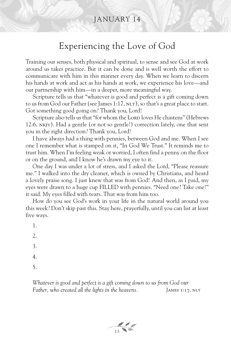## Experiencing the Love of God

Training our senses, both physical and spiritual, to sense and see God at work around us takes practice. But it can be done and is well worth the effort to communicate with him in this manner every day. When we learn to discern his hands at work and act as his hands at work, we experience his love—and our partnership with him—in a deeper, more meaningful way.

Scripture tells us that "whatever is good and perfect is a gift coming down to us from God our Father (see James 1:17,  $NLT$ ), so that's a great place to start. Got something good going on? Thank you, Lord!

Scripture also tells us that "for whom the Lorp loves He chastens" (Hebrews 12:6, nkjv). Had a gentle (or not so gentle!) correction lately, one that sent you in the right direction? Thank you, Lord!

I have always had a thing with pennies, between God and me. When I see one I remember what is stamped on it, "In God We Trust." It reminds me to trust him. When I'm feeling weak or worried, I often find a penny on the floor or on the ground, and I know he's drawn my eye to it.

One day I was under a lot of stress, and I asked the Lord, "Please reassure me." I walked into the dry cleaner, which is owned by Christians, and heard a lovely praise song. I just knew that was from God! And then, as I paid, my eyes were drawn to a huge cup FILLED with pennies. "Need one? Take one!" it said. My eyes filled with tears. That was from him too.

How do you see God's work in your life in the natural world around you this week? Don't skip past this. Stay here, prayerfully, until you can list at least five ways.

1.

2.

3.

4.

5.

*Whatever is good and perfect is a gift coming down to us from God our Father, who created all the lights in the heavens.* JAMES 1:17, NLT